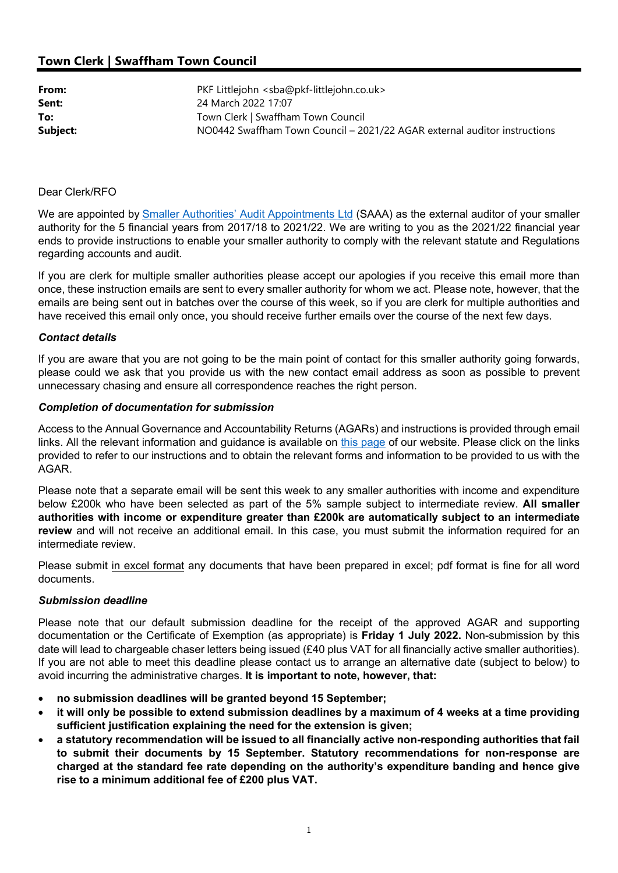# Town Clerk | Swaffham Town Council

| From:    | PKF Littlejohn <sba@pkf-littlejohn.co.uk></sba@pkf-littlejohn.co.uk>      |
|----------|---------------------------------------------------------------------------|
| Sent:    | 24 March 2022 17:07                                                       |
| To:      | Town Clerk   Swaffham Town Council                                        |
| Subject: | NO0442 Swaffham Town Council – 2021/22 AGAR external auditor instructions |

## Dear Clerk/RFO

We are appointed by Smaller Authorities' Audit Appointments Ltd (SAAA) as the external auditor of your smaller authority for the 5 financial years from 2017/18 to 2021/22. We are writing to you as the 2021/22 financial year ends to provide instructions to enable your smaller authority to comply with the relevant statute and Regulations regarding accounts and audit.

If you are clerk for multiple smaller authorities please accept our apologies if you receive this email more than once, these instruction emails are sent to every smaller authority for whom we act. Please note, however, that the emails are being sent out in batches over the course of this week, so if you are clerk for multiple authorities and have received this email only once, you should receive further emails over the course of the next few days.

#### Contact details

If you are aware that you are not going to be the main point of contact for this smaller authority going forwards, please could we ask that you provide us with the new contact email address as soon as possible to prevent unnecessary chasing and ensure all correspondence reaches the right person.

## Completion of documentation for submission

Access to the Annual Governance and Accountability Returns (AGARs) and instructions is provided through email links. All the relevant information and guidance is available on this page of our website. Please click on the links provided to refer to our instructions and to obtain the relevant forms and information to be provided to us with the AGAR.

Please note that a separate email will be sent this week to any smaller authorities with income and expenditure below £200k who have been selected as part of the 5% sample subject to intermediate review. All smaller authorities with income or expenditure greater than £200k are automatically subject to an intermediate review and will not receive an additional email. In this case, you must submit the information required for an intermediate review.

Please submit in excel format any documents that have been prepared in excel; pdf format is fine for all word documents.

#### Submission deadline

Please note that our default submission deadline for the receipt of the approved AGAR and supporting documentation or the Certificate of Exemption (as appropriate) is Friday 1 July 2022. Non-submission by this date will lead to chargeable chaser letters being issued (£40 plus VAT for all financially active smaller authorities). If you are not able to meet this deadline please contact us to arrange an alternative date (subject to below) to avoid incurring the administrative charges. It is important to note, however, that:

- no submission deadlines will be granted beyond 15 September;
- it will only be possible to extend submission deadlines by a maximum of 4 weeks at a time providing sufficient justification explaining the need for the extension is given;
- a statutory recommendation will be issued to all financially active non-responding authorities that fail to submit their documents by 15 September. Statutory recommendations for non-response are charged at the standard fee rate depending on the authority's expenditure banding and hence give rise to a minimum additional fee of £200 plus VAT.